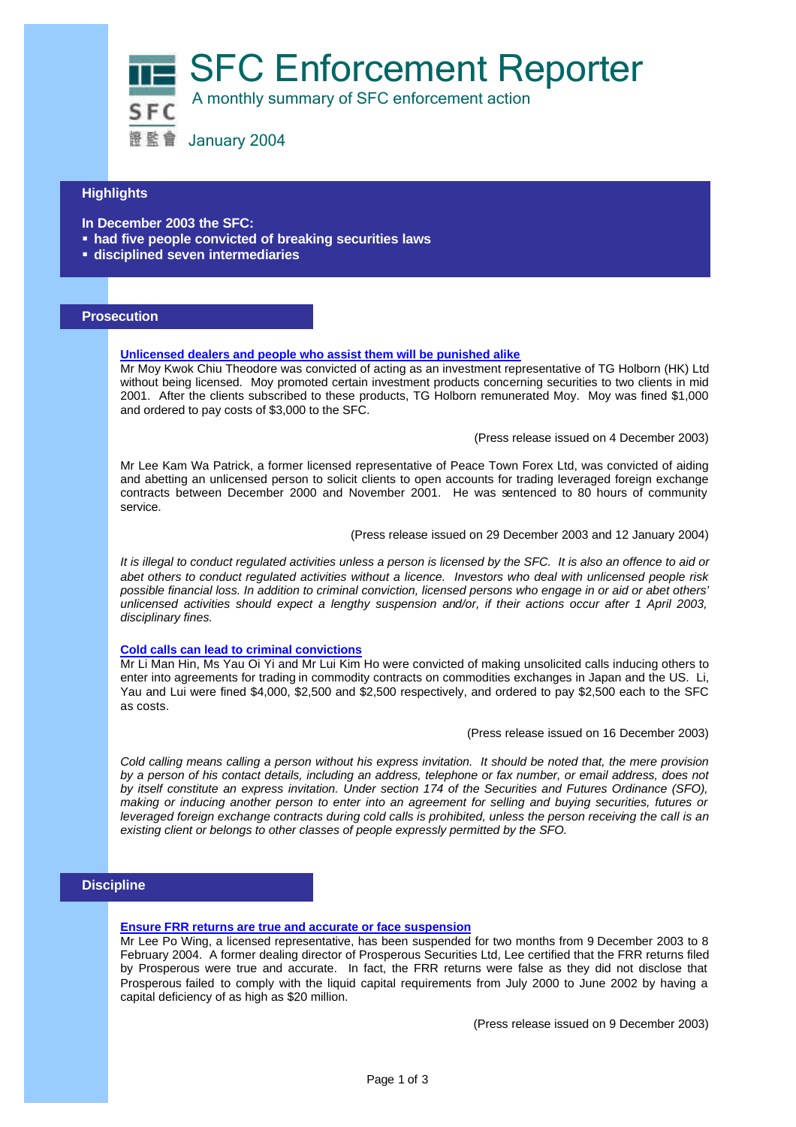SFC Enforcement Reporter



A monthly summary of SFC enforcement action

證監會 January 2004

## **Highlights**

**In December 2003 the SFC:**

- **had five people convicted of breaking securities laws**
- ß **disciplined seven intermediaries**

### **Prosecution**

#### **Unlicensed dealers and people who assist them will be punished alike**

Mr Moy Kwok Chiu Theodore was convicted of acting as an investment representative of TG Holborn (HK) Ltd without being licensed. Moy promoted certain investment products concerning securities to two clients in mid 2001. After the clients subscribed to these products, TG Holborn remunerated Moy. Moy was fined \$1,000 and ordered to pay costs of \$3,000 to the SFC.

(Press release issued on 4 December 2003)

Mr Lee Kam Wa Patrick, a former licensed representative of Peace Town Forex Ltd, was convicted of aiding and abetting an unlicensed person to solicit clients to open accounts for trading leveraged foreign exchange contracts between December 2000 and November 2001. He was sentenced to 80 hours of community service.

(Press release issued on 29 December 2003 and 12 January 2004)

*It is illegal to conduct regulated activities unless a person is licensed by the SFC. It is also an offence to aid or abet others to conduct regulated activities without a licence. Investors who deal with unlicensed people risk possible financial loss. In addition to criminal conviction, licensed persons who engage in or aid or abet others' unlicensed activities should expect a lengthy suspension and/or, if their actions occur after 1 April 2003, disciplinary fines.*

#### **Cold calls can lead to criminal convictions**

Mr Li Man Hin, Ms Yau Oi Yi and Mr Lui Kim Ho were convicted of making unsolicited calls inducing others to enter into agreements for trading in commodity contracts on commodities exchanges in Japan and the US. Li, Yau and Lui were fined \$4,000, \$2,500 and \$2,500 respectively, and ordered to pay \$2,500 each to the SFC as costs.

(Press release issued on 16 December 2003)

*Cold calling means calling a person without his express invitation. It should be noted that, the mere provision by a person of his contact details, including an address, telephone or fax number, or email address, does not by itself constitute an express invitation. Under section 174 of the Securities and Futures Ordinance (SFO), making or inducing another person to enter into an agreement for selling and buying securities, futures or leveraged foreign exchange contracts during cold calls is prohibited, unless the person receiving the call is an existing client or belongs to other classes of people expressly permitted by the SFO.* 

## **Discipline**

#### **Ensure FRR returns are true and accurate or face suspension**

Mr Lee Po Wing, a licensed representative, has been suspended for two months from 9 December 2003 to 8 February 2004. A former dealing director of Prosperous Securities Ltd, Lee certified that the FRR returns filed by Prosperous were true and accurate. In fact, the FRR returns were false as they did not disclose that Prosperous failed to comply with the liquid capital requirements from July 2000 to June 2002 by having a capital deficiency of as high as \$20 million.

(Press release issued on 9 December 2003)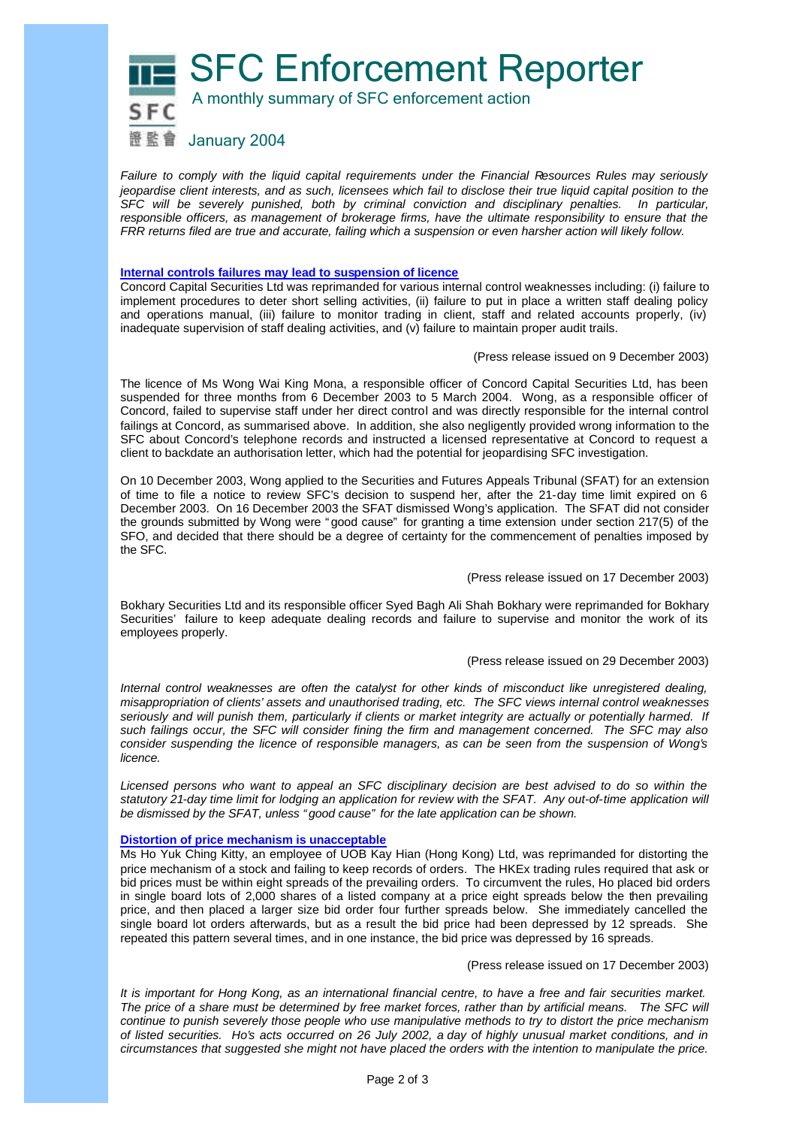SFC Enforcement Reporter



A monthly summary of SFC enforcement action

證監會 January 2004

*Failure to comply with the liquid capital requirements under the Financial Resources Rules may seriously jeopardise client interests, and as such, licensees which fail to disclose their true liquid capital position to the SFC will be severely punished, both by criminal conviction and disciplinary penalties. In particular, responsible officers, as management of brokerage firms, have the ultimate responsibility to ensure that the FRR returns filed are true and accurate, failing which a suspension or even harsher action will likely follow.*

#### **Internal controls failures may lead to suspension of licence**

Concord Capital Securities Ltd was reprimanded for various internal control weaknesses including: (i) failure to implement procedures to deter short selling activities, (ii) failure to put in place a written staff dealing policy and operations manual, (iii) failure to monitor trading in client, staff and related accounts properly, (iv) inadequate supervision of staff dealing activities, and (v) failure to maintain proper audit trails.

(Press release issued on 9 December 2003)

The licence of Ms Wong Wai King Mona, a responsible officer of Concord Capital Securities Ltd, has been suspended for three months from 6 December 2003 to 5 March 2004. Wong, as a responsible officer of Concord, failed to supervise staff under her direct control and was directly responsible for the internal control failings at Concord, as summarised above. In addition, she also negligently provided wrong information to the SFC about Concord's telephone records and instructed a licensed representative at Concord to request a client to backdate an authorisation letter, which had the potential for jeopardising SFC investigation.

On 10 December 2003, Wong applied to the Securities and Futures Appeals Tribunal (SFAT) for an extension of time to file a notice to review SFC's decision to suspend her, after the 21-day time limit expired on 6 December 2003. On 16 December 2003 the SFAT dismissed Wong's application. The SFAT did not consider the grounds submitted by Wong were "good cause" for granting a time extension under section 217(5) of the SFO, and decided that there should be a degree of certainty for the commencement of penalties imposed by the SFC.

(Press release issued on 17 December 2003)

Bokhary Securities Ltd and its responsible officer Syed Bagh Ali Shah Bokhary were reprimanded for Bokhary Securities' failure to keep adequate dealing records and failure to supervise and monitor the work of its employees properly.

#### (Press release issued on 29 December 2003)

*Internal control weaknesses are often the catalyst for other kinds of misconduct like unregistered dealing, misappropriation of clients' assets and unauthorised trading, etc. The SFC views internal control weaknesses seriously and will punish them, particularly if clients or market integrity are actually or potentially harmed. If such failings occur, the SFC will consider fining the firm and management concerned. The SFC may also consider suspending the licence of responsible managers, as can be seen from the suspension of Wong's licence.* 

*Licensed persons who want to appeal an SFC disciplinary decision are best advised to do so within the*  statutory 21-day time limit for lodging an application for review with the SFAT. Any out-of-time application will *be dismissed by the SFAT, unless "good cause" for the late application can be shown.*

#### **Distortion of price mechanism is unacceptable**

Ms Ho Yuk Ching Kitty, an employee of UOB Kay Hian (Hong Kong) Ltd, was reprimanded for distorting the price mechanism of a stock and failing to keep records of orders. The HKEx trading rules required that ask or bid prices must be within eight spreads of the prevailing orders. To circumvent the rules, Ho placed bid orders in single board lots of 2,000 shares of a listed company at a price eight spreads below the then prevailing price, and then placed a larger size bid order four further spreads below. She immediately cancelled the single board lot orders afterwards, but as a result the bid price had been depressed by 12 spreads. She repeated this pattern several times, and in one instance, the bid price was depressed by 16 spreads.

(Press release issued on 17 December 2003)

*It is important for Hong Kong, as an international financial centre, to have a free and fair securities market.*  The price of a share must be determined by free market forces, rather than by artificial means. The SFC will *continue to punish severely those people who use manipulative methods to try to distort the price mechanism of listed securities. Ho's acts occurred on 26 July 2002, a day of highly unusual market conditions, and in circumstances that suggested she might not have placed the orders with the intention to manipulate the price.*